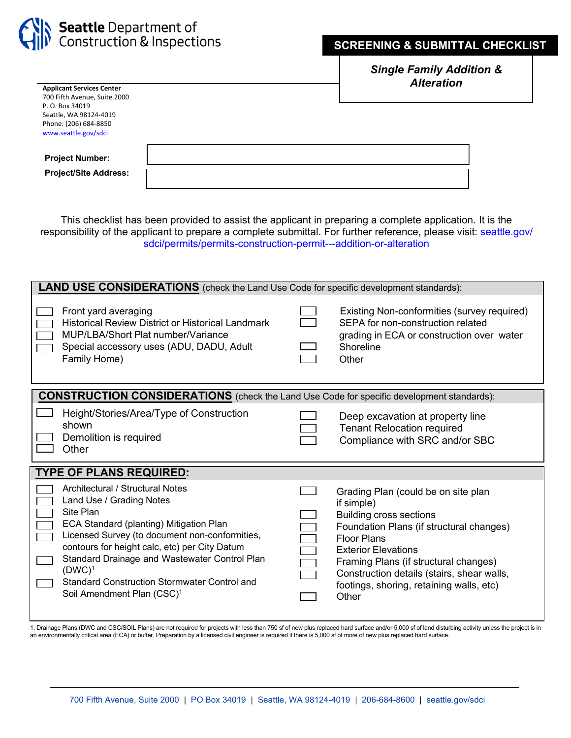

## **SCREENING & SUBMITTAL CHECKLIST**

*Single Family Addition & Alteration*

| <b>Applicant Services Center</b> | AIWI UUVII |
|----------------------------------|------------|
| 700 Fifth Avenue, Suite 2000     |            |
| P. O. Box 34019                  |            |
| Seattle, WA 98124-4019           |            |
| Phone: (206) 684-8850            |            |
| www.seattle.gov/sdci             |            |
|                                  |            |
|                                  |            |
| <b>Project Number:</b>           |            |
| <b>Project/Site Address:</b>     |            |
|                                  |            |
|                                  |            |

This checklist has been provided to assist the applicant in preparing a complete application. It is the responsibility of the applicant to prepare a complete submittal. For further reference, please visit: seattle.gov/ [sdci/permits/permits-construction-permit---addition-or-alteration](http://www.seattle.gov/sdci/permits/permits-we-issue-(a-z)/construction-permit---addition-or-alteration)

| <b>LAND USE CONSIDERATIONS</b> (check the Land Use Code for specific development standards):     |                                                                                                                                                                                                                                                                                                                                              |  |                                                                                                                                                                                                                                                                                                                        |  |  |  |
|--------------------------------------------------------------------------------------------------|----------------------------------------------------------------------------------------------------------------------------------------------------------------------------------------------------------------------------------------------------------------------------------------------------------------------------------------------|--|------------------------------------------------------------------------------------------------------------------------------------------------------------------------------------------------------------------------------------------------------------------------------------------------------------------------|--|--|--|
|                                                                                                  | Front yard averaging<br><b>Historical Review District or Historical Landmark</b><br>MUP/LBA/Short Plat number/Variance<br>Special accessory uses (ADU, DADU, Adult<br>Family Home)                                                                                                                                                           |  | Existing Non-conformities (survey required)<br>SEPA for non-construction related<br>grading in ECA or construction over water<br>Shoreline<br>Other                                                                                                                                                                    |  |  |  |
| <b>CONSTRUCTION CONSIDERATIONS</b> (check the Land Use Code for specific development standards): |                                                                                                                                                                                                                                                                                                                                              |  |                                                                                                                                                                                                                                                                                                                        |  |  |  |
|                                                                                                  | Height/Stories/Area/Type of Construction<br>shown<br>Demolition is required<br>Other                                                                                                                                                                                                                                                         |  | Deep excavation at property line<br><b>Tenant Relocation required</b><br>Compliance with SRC and/or SBC                                                                                                                                                                                                                |  |  |  |
| <b>TYPE OF PLANS REQUIRED:</b>                                                                   |                                                                                                                                                                                                                                                                                                                                              |  |                                                                                                                                                                                                                                                                                                                        |  |  |  |
|                                                                                                  | Architectural / Structural Notes<br>Land Use / Grading Notes<br>Site Plan<br>ECA Standard (planting) Mitigation Plan<br>Licensed Survey (to document non-conformities,<br>contours for height calc, etc) per City Datum<br>Standard Drainage and Wastewater Control Plan<br>$(DWC)^1$<br><b>Standard Construction Stormwater Control and</b> |  | Grading Plan (could be on site plan<br>if simple)<br><b>Building cross sections</b><br>Foundation Plans (if structural changes)<br><b>Floor Plans</b><br><b>Exterior Elevations</b><br>Framing Plans (if structural changes)<br>Construction details (stairs, shear walls,<br>footings, shoring, retaining walls, etc) |  |  |  |

1. Drainage Plans (DWC and CSC/SOIL Plans) are not required for projects with less than 750 sf of new plus replaced hard surface and/or 5,000 sf of land disturbing activity unless the project is in an environmentally critical area (ECA) or buffer. Preparation by a licensed civil engineer is required if there is 5,000 sf of more of new plus replaced hard surface.